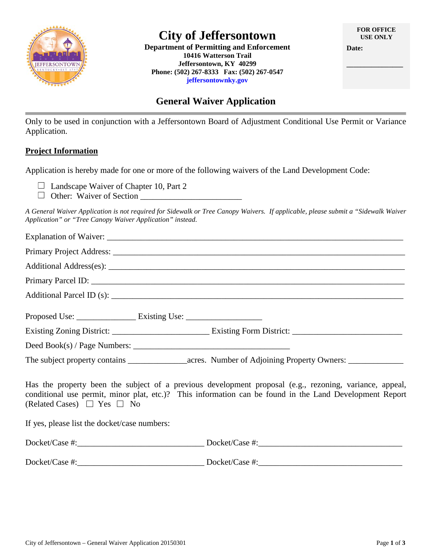

# **City of Jeffersontown**

**Department of Permitting and Enforcement 10416 Watterson Trail Jeffersontown, KY 40299 Phone: (502) 267-8333 Fax: (502) 267-0547 jeffersontownky.gov**

**\_\_\_\_\_\_\_\_\_\_\_\_\_\_\_\_** 

## **General Waiver Application**

Only to be used in conjunction with a Jeffersontown Board of Adjustment Conditional Use Permit or Variance Application.

### **Project Information**

Application is hereby made for one or more of the following waivers of the Land Development Code:

 $\Box$  Landscape Waiver of Chapter 10, Part 2

Other: Waiver of Section \_\_\_\_\_\_\_\_\_\_\_\_\_\_\_\_\_\_\_\_\_\_\_\_

*A General Waiver Application is not required for Sidewalk or Tree Canopy Waivers. If applicable, please submit a "Sidewalk Waiver Application" or "Tree Canopy Waiver Application" instead.*

| Proposed Use: ______________________ Existing Use: _____________________________                                                                                                                                                                           |  |  |
|------------------------------------------------------------------------------------------------------------------------------------------------------------------------------------------------------------------------------------------------------------|--|--|
|                                                                                                                                                                                                                                                            |  |  |
|                                                                                                                                                                                                                                                            |  |  |
|                                                                                                                                                                                                                                                            |  |  |
| Has the property been the subject of a previous development proposal (e.g., rezoning, variance, appeal,<br>conditional use permit, minor plat, etc.)? This information can be found in the Land Development Report<br>(Related Cases) $\Box$ Yes $\Box$ No |  |  |
| If yes, please list the docket/case numbers:                                                                                                                                                                                                               |  |  |
| $Docket/Case \#:\_\_\_\_\_\_\_$                                                                                                                                                                                                                            |  |  |
|                                                                                                                                                                                                                                                            |  |  |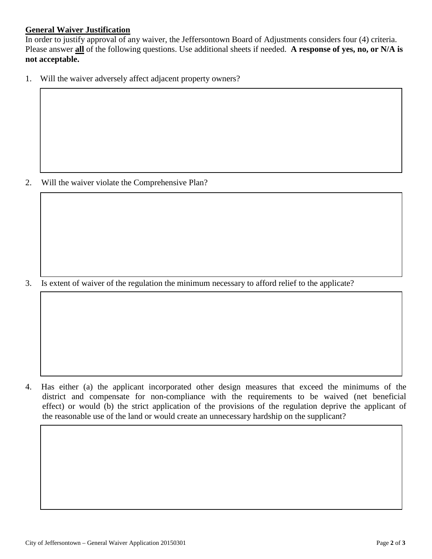### **General Waiver Justification**

In order to justify approval of any waiver, the Jeffersontown Board of Adjustments considers four (4) criteria. Please answer **all** of the following questions. Use additional sheets if needed. **A response of yes, no, or N/A is not acceptable.**

1. Will the waiver adversely affect adjacent property owners?

2. Will the waiver violate the Comprehensive Plan?

3. Is extent of waiver of the regulation the minimum necessary to afford relief to the applicate?

4. Has either (a) the applicant incorporated other design measures that exceed the minimums of the district and compensate for non-compliance with the requirements to be waived (net beneficial effect) or would (b) the strict application of the provisions of the regulation deprive the applicant of the reasonable use of the land or would create an unnecessary hardship on the supplicant?